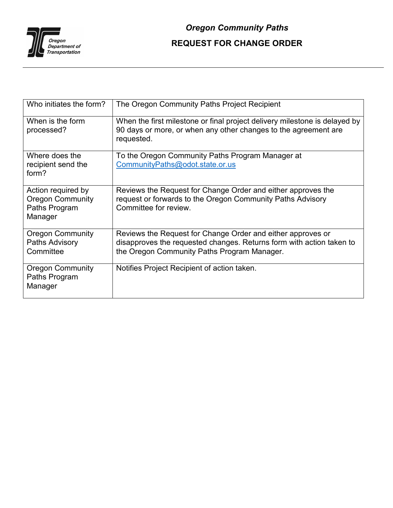

| Who initiates the form?                                                   | The Oregon Community Paths Project Recipient                                                                                                                                       |
|---------------------------------------------------------------------------|------------------------------------------------------------------------------------------------------------------------------------------------------------------------------------|
| When is the form<br>processed?                                            | When the first milestone or final project delivery milestone is delayed by<br>90 days or more, or when any other changes to the agreement are<br>requested.                        |
| Where does the<br>recipient send the<br>form?                             | To the Oregon Community Paths Program Manager at<br>CommunityPaths@odot.state.or.us                                                                                                |
| Action required by<br><b>Oregon Community</b><br>Paths Program<br>Manager | Reviews the Request for Change Order and either approves the<br>request or forwards to the Oregon Community Paths Advisory<br>Committee for review.                                |
| <b>Oregon Community</b><br>Paths Advisory<br>Committee                    | Reviews the Request for Change Order and either approves or<br>disapproves the requested changes. Returns form with action taken to<br>the Oregon Community Paths Program Manager. |
| <b>Oregon Community</b><br>Paths Program<br>Manager                       | Notifies Project Recipient of action taken.                                                                                                                                        |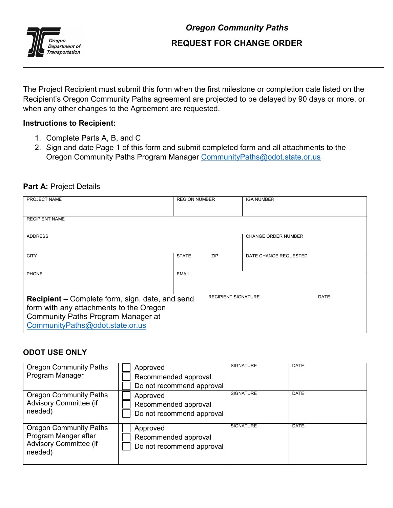

## *Oregon Community Paths* **REQUEST FOR CHANGE ORDER**

The Project Recipient must submit this form when the first milestone or completion date listed on the Recipient's Oregon Community Paths agreement are projected to be delayed by 90 days or more, or when any other changes to the Agreement are requested.

## **Instructions to Recipient:**

- 1. Complete Parts A, B, and C
- 2. Sign and date Page 1 of this form and submit completed form and all attachments to the Oregon Community Paths Program Manager [CommunityPaths@odot.state.or.us](mailto:CommunityPaths@odot.state.or.us)

## Part A: Project Details

| PROJECT NAME                                           | <b>REGION NUMBER</b> |                            | <b>IGA NUMBER</b>          |             |
|--------------------------------------------------------|----------------------|----------------------------|----------------------------|-------------|
|                                                        |                      |                            |                            |             |
|                                                        |                      |                            |                            |             |
| <b>RECIPIENT NAME</b>                                  |                      |                            |                            |             |
|                                                        |                      |                            |                            |             |
|                                                        |                      |                            |                            |             |
| <b>ADDRESS</b>                                         |                      |                            | <b>CHANGE ORDER NUMBER</b> |             |
|                                                        |                      |                            |                            |             |
|                                                        |                      |                            |                            |             |
| <b>CITY</b>                                            | <b>STATE</b>         | <b>ZIP</b>                 | DATE CHANGE REQUESTED      |             |
|                                                        |                      |                            |                            |             |
|                                                        |                      |                            |                            |             |
| <b>PHONE</b>                                           | <b>EMAIL</b>         |                            |                            |             |
|                                                        |                      |                            |                            |             |
|                                                        |                      |                            |                            |             |
|                                                        |                      |                            |                            |             |
| <b>Recipient</b> – Complete form, sign, date, and send |                      | <b>RECIPIENT SIGNATURE</b> |                            | <b>DATE</b> |
|                                                        |                      |                            |                            |             |
| form with any attachments to the Oregon                |                      |                            |                            |             |
| <b>Community Paths Program Manager at</b>              |                      |                            |                            |             |
| CommunityPaths@odot.state.or.us                        |                      |                            |                            |             |
|                                                        |                      |                            |                            |             |

## **ODOT USE ONLY**

| <b>Oregon Community Paths</b><br>Program Manager                                           | Approved<br>Recommended approval<br>Do not recommend approval | <b>SIGNATURE</b> | DATE        |
|--------------------------------------------------------------------------------------------|---------------------------------------------------------------|------------------|-------------|
| <b>Oregon Community Paths</b><br><b>Advisory Committee (if</b><br>needed)                  | Approved<br>Recommended approval<br>Do not recommend approval | <b>SIGNATURE</b> | <b>DATE</b> |
| <b>Oregon Community Paths</b><br>Program Manger after<br>Advisory Committee (if<br>needed) | Approved<br>Recommended approval<br>Do not recommend approval | <b>SIGNATURE</b> | <b>DATE</b> |